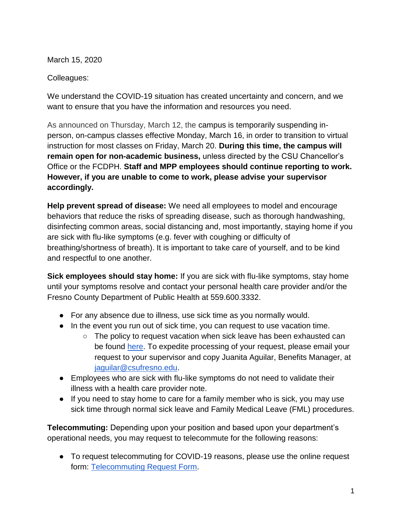March 15, 2020

Colleagues:

We understand the COVID-19 situation has created uncertainty and concern, and we want to ensure that you have the information and resources you need.

As announced on Thursday, March 12, the campus is temporarily suspending inperson, on-campus classes effective Monday, March 16, in order to transition to virtual instruction for most classes on Friday, March 20. **During this time, the campus will remain open for non-academic business,** unless directed by the CSU Chancellor's Office or the FCDPH. **Staff and MPP employees should continue reporting to work. However, if you are unable to come to work, please advise your supervisor accordingly.** 

**Help prevent spread of disease:** We need all employees to model and encourage behaviors that reduce the risks of spreading disease, such as thorough handwashing, disinfecting common areas, social distancing and, most importantly, staying home if you are sick with flu-like symptoms (e.g. fever with coughing or difficulty of breathing/shortness of breath). It is important to take care of yourself, and to be kind and respectful to one another.

**Sick employees should stay home:** If you are sick with flu-like symptoms, stay home until your symptoms resolve and contact your personal health care provider and/or the Fresno County Department of Public Health at 559.600.3332.

- For any absence due to illness, use sick time as you normally would.
- In the event you run out of sick time, you can request to use vacation time.
	- The policy to request vacation when sick leave has been exhausted can be found [here.](http://www.fresnostate.edu/mapp/iii/g/g-53.pdf) To expedite processing of your request, please email your request to your supervisor and copy Juanita Aguilar, Benefits Manager, at [jaguilar@csufresno.edu.](mailto:jaguilar@csufresno.edu)
- Employees who are sick with flu-like symptoms do not need to validate their illness with a health care provider note.
- If you need to stay home to care for a family member who is sick, you may use sick time through normal sick leave and Family Medical Leave (FML) procedures.

**Telecommuting:** Depending upon your position and based upon your department's operational needs, you may request to telecommute for the following reasons:

● To request telecommuting for COVID-19 reasons, please use the online request form: [Telecommuting Request Form.](https://fresnostate.co1.qualtrics.com/jfe/form/SV_4U6OlFRxQ1fdljf)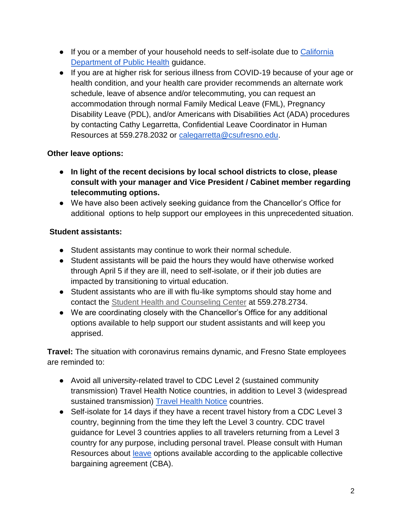- If you or a member of your household needs to self-isolate due t[o](https://www.cdph.ca.gov/Programs/CID/DCDC/Pages/Immunization/nCOV2019.aspx) [California](https://www.cdph.ca.gov/Programs/CID/DCDC/Pages/Immunization/nCOV2019.aspx)  [Department of Public Health](https://www.cdph.ca.gov/Programs/CID/DCDC/Pages/Immunization/nCOV2019.aspx) guidance.
- If you are at higher risk for serious illness from COVID-19 because of your age or health condition, and your health care provider recommends an alternate work schedule, leave of absence and/or telecommuting, you can request an accommodation through normal Family Medical Leave (FML), Pregnancy Disability Leave (PDL), and/or Americans with Disabilities Act (ADA) procedures by contacting Cathy Legarretta, Confidential Leave Coordinator in Human Resources at 559.278.2032 or [calegarretta@csufresno.edu.](mailto:calegarretta@csufresno.edu)

## **Other leave options:**

- **In light of the recent decisions by local school districts to close, please consult with your manager and Vice President / Cabinet member regarding telecommuting options.**
- We have also been actively seeking guidance from the Chancellor's Office for additional options to help support our employees in this unprecedented situation.

## **Student assistants:**

- Student assistants may continue to work their normal schedule.
- Student assistants will be paid the hours they would have otherwise worked through April 5 if they are ill, need to self-isolate, or if their job duties are impacted by transitioning to virtual education.
- Student assistants who are ill with flu-like symptoms should stay home and contact the [Student Health and Counseling Center](http://fresnostate.edu/studentaffairs/health/) at 559.278.2734.
- We are coordinating closely with the Chancellor's Office for any additional options available to help support our student assistants and will keep you apprised.

**Travel:** The situation with coronavirus remains dynamic, and Fresno State employees are reminded to:

- Avoid all university-related travel to CDC Level 2 (sustained community transmission) Travel Health Notice countries, in addition to Level 3 (widespread sustained transmission) [Travel Health Notice](https://wwwnc.cdc.gov/travel/notices) countries.
- Self-isolate for 14 days if they have a recent travel history from a CDC Level 3 country, beginning from the time they left the Level 3 country. CDC travel guidance for Level 3 countries applies to all travelers returning from a Level 3 country for any purpose, including personal travel. Please consult with Human Resources abou[t](http://fresnostate.edu/adminserv/hr/benefits/leavesofabsence/index.html) [leave](http://fresnostate.edu/adminserv/hr/benefits/leavesofabsence/index.html) options available according to the applicable collective bargaining agreement (CBA).